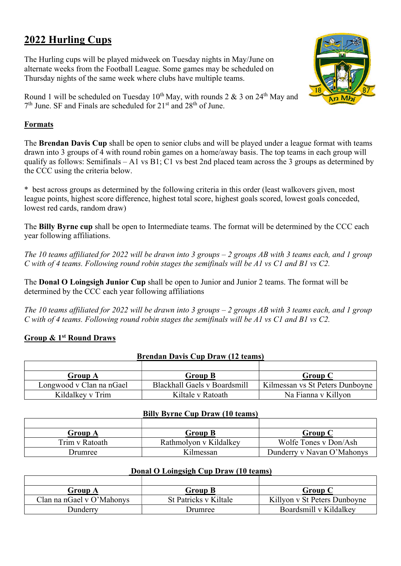# 2022 Hurling Cups

The Hurling cups will be played midweek on Tuesday nights in May/June on alternate weeks from the Football League. Some games may be scheduled on Thursday nights of the same week where clubs have multiple teams.

Round 1 will be scheduled on Tuesday  $10^{th}$  May, with rounds 2 & 3 on 24<sup>th</sup> May and 7<sup>th</sup> June. SF and Finals are scheduled for 21<sup>st</sup> and 28<sup>th</sup> of June.

## Formats

The Brendan Davis Cup shall be open to senior clubs and will be played under a league format with teams drawn into 3 groups of 4 with round robin games on a home/away basis. The top teams in each group will qualify as follows: Semifinals – A1 vs B1; C1 vs best 2nd placed team across the 3 groups as determined by the CCC using the criteria below.

\* best across groups as determined by the following criteria in this order (least walkovers given, most league points, highest score difference, highest total score, highest goals scored, lowest goals conceded, lowest red cards, random draw)

The Billy Byrne cup shall be open to Intermediate teams. The format will be determined by the CCC each year following affiliations.

The 10 teams affiliated for 2022 will be drawn into 3 groups – 2 groups AB with 3 teams each, and 1 group C with of 4 teams. Following round robin stages the semifinals will be A1 vs C1 and B1 vs C2.

The Donal O Loingsigh Junior Cup shall be open to Junior and Junior 2 teams. The format will be determined by the CCC each year following affiliations

The 10 teams affiliated for 2022 will be drawn into 3 groups  $-2$  groups AB with 3 teams each, and 1 group C with of 4 teams. Following round robin stages the semifinals will be A1 vs C1 and B1 vs C2.

## Group & 1st Round Draws

|--|

| Group A                  | <b>Group B</b>               | <b>Group C</b>                  |
|--------------------------|------------------------------|---------------------------------|
| Longwood v Clan na nGael | Blackhall Gaels v Boardsmill | Kilmessan vs St Peters Dunboyne |
| Kildalkev v Trim         | Kiltale v Ratoath            | Na Fianna v Killyon             |

#### Billy Byrne Cup Draw (10 teams)

| Group A        | Group B                | Group C                    |
|----------------|------------------------|----------------------------|
| Trim v Ratoath | Rathmolyon v Kildalkey | Wolfe Tones v Don/Ash      |
| 'Jrumree       | Kilmessan              | Dunderry v Navan O'Mahonys |

#### Donal O Loingsigh Cup Draw (10 teams)

| Group A                   | Group B               | Group C                      |
|---------------------------|-----------------------|------------------------------|
| Clan na nGael v O'Mahonys | St Patricks v Kiltale | Killyon v St Peters Dunboyne |
| Dunderry                  | Drumree               | Boardsmill v Kildalkev       |

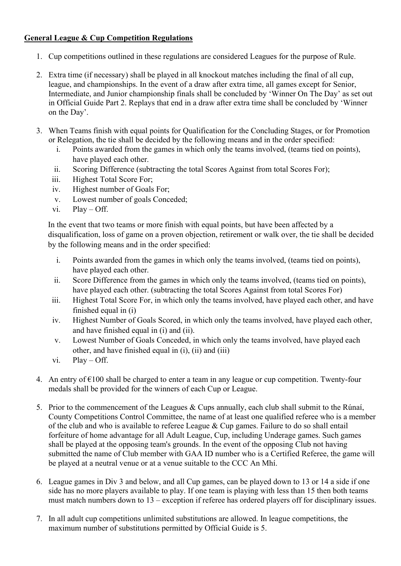## General League & Cup Competition Regulations

- 1. Cup competitions outlined in these regulations are considered Leagues for the purpose of Rule.
- 2. Extra time (if necessary) shall be played in all knockout matches including the final of all cup, league, and championships. In the event of a draw after extra time, all games except for Senior, Intermediate, and Junior championship finals shall be concluded by 'Winner On The Day' as set out in Official Guide Part 2. Replays that end in a draw after extra time shall be concluded by 'Winner on the Day'.
- 3. When Teams finish with equal points for Qualification for the Concluding Stages, or for Promotion or Relegation, the tie shall be decided by the following means and in the order specified:
	- i. Points awarded from the games in which only the teams involved, (teams tied on points), have played each other.
	- ii. Scoring Difference (subtracting the total Scores Against from total Scores For);
	- iii. Highest Total Score For;
	- iv. Highest number of Goals For;
	- v. Lowest number of goals Conceded;
	- vi. Play Off.

In the event that two teams or more finish with equal points, but have been affected by a disqualification, loss of game on a proven objection, retirement or walk over, the tie shall be decided by the following means and in the order specified:

- i. Points awarded from the games in which only the teams involved, (teams tied on points), have played each other.
- ii. Score Difference from the games in which only the teams involved, (teams tied on points), have played each other. (subtracting the total Scores Against from total Scores For)
- iii. Highest Total Score For, in which only the teams involved, have played each other, and have finished equal in (i)
- iv. Highest Number of Goals Scored, in which only the teams involved, have played each other, and have finished equal in (i) and (ii).
- v. Lowest Number of Goals Conceded, in which only the teams involved, have played each other, and have finished equal in (i), (ii) and (iii)
- vi. Play Off.
- 4. An entry of  $\epsilon$ 100 shall be charged to enter a team in any league or cup competition. Twenty-four medals shall be provided for the winners of each Cup or League.
- 5. Prior to the commencement of the Leagues & Cups annually, each club shall submit to the Rúnaí, County Competitions Control Committee, the name of at least one qualified referee who is a member of the club and who is available to referee League & Cup games. Failure to do so shall entail forfeiture of home advantage for all Adult League, Cup, including Underage games. Such games shall be played at the opposing team's grounds. In the event of the opposing Club not having submitted the name of Club member with GAA ID number who is a Certified Referee, the game will be played at a neutral venue or at a venue suitable to the CCC An Mhí.
- 6. League games in Div 3 and below, and all Cup games, can be played down to 13 or 14 a side if one side has no more players available to play. If one team is playing with less than 15 then both teams must match numbers down to 13 – exception if referee has ordered players off for disciplinary issues.
- 7. In all adult cup competitions unlimited substitutions are allowed. In league competitions, the maximum number of substitutions permitted by Official Guide is 5.